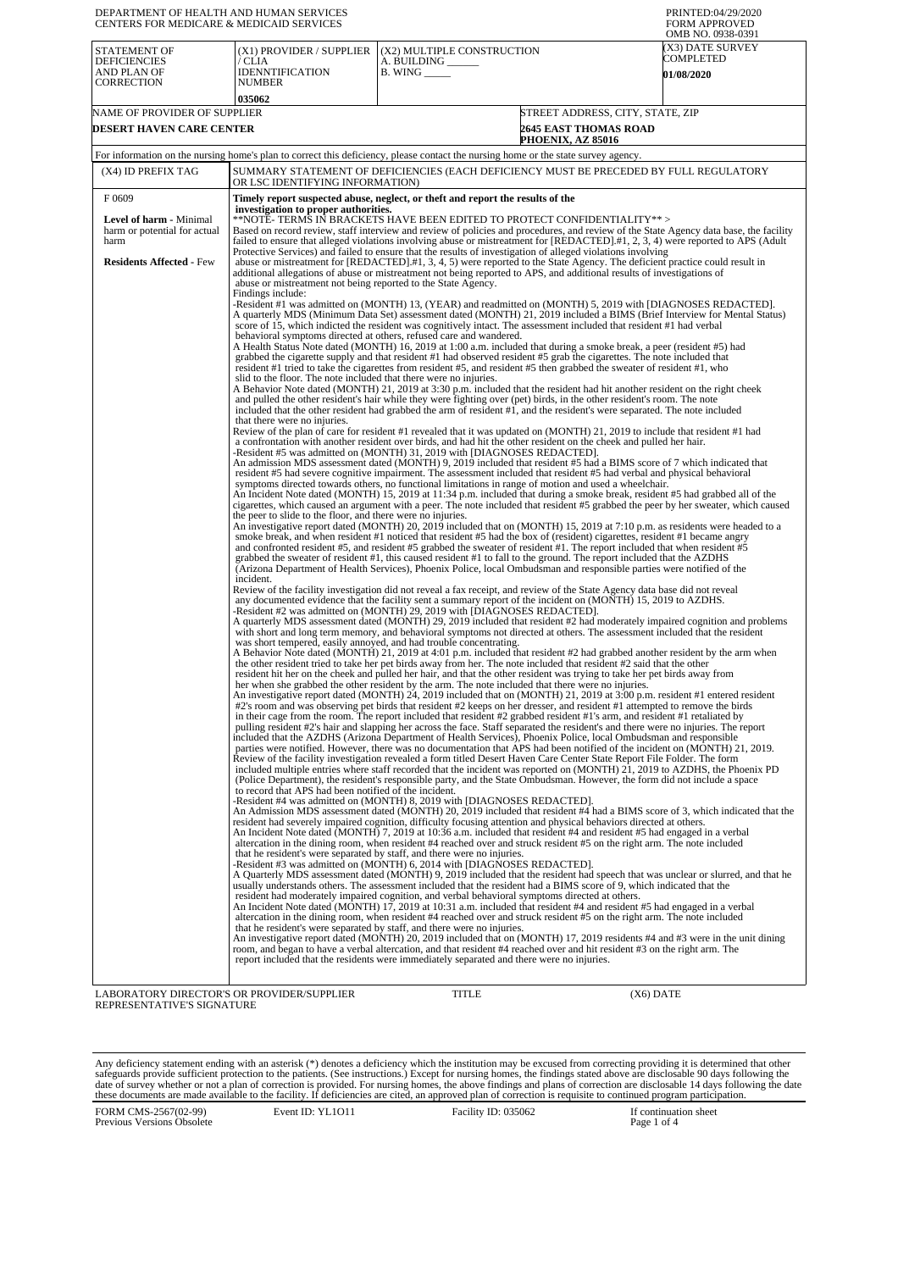| DEPARTMENT OF HEALTH AND HUMAN SERVICES<br>CENTERS FOR MEDICARE & MEDICAID SERVICES |                                                                                                                                                                                                                                                                                                                                                                                                                                                                                                                                                                                                                                                                                                                                                                                                                                                           |                                                                   |                                                                                                                                                                                                                                                                                                                                                                                                | PRINTED:04/29/2020<br><b>FORM APPROVED</b><br>OMB NO. 0938-0391 |  |
|-------------------------------------------------------------------------------------|-----------------------------------------------------------------------------------------------------------------------------------------------------------------------------------------------------------------------------------------------------------------------------------------------------------------------------------------------------------------------------------------------------------------------------------------------------------------------------------------------------------------------------------------------------------------------------------------------------------------------------------------------------------------------------------------------------------------------------------------------------------------------------------------------------------------------------------------------------------|-------------------------------------------------------------------|------------------------------------------------------------------------------------------------------------------------------------------------------------------------------------------------------------------------------------------------------------------------------------------------------------------------------------------------------------------------------------------------|-----------------------------------------------------------------|--|
| STATEMENT OF<br><b>DEFICIENCIES</b><br>AND PLAN OF                                  | (X1) PROVIDER / SUPPLIER<br>/ CLIA<br><b>IDENNTIFICATION</b>                                                                                                                                                                                                                                                                                                                                                                                                                                                                                                                                                                                                                                                                                                                                                                                              | (X2) MULTIPLE CONSTRUCTION<br>A. BUILDING<br><b>B.</b> WING _____ |                                                                                                                                                                                                                                                                                                                                                                                                | (X3) DATE SURVEY<br>COMPLETED<br><b>01/08/2020</b>              |  |
| CORRECTION                                                                          | <b>NUMBER</b>                                                                                                                                                                                                                                                                                                                                                                                                                                                                                                                                                                                                                                                                                                                                                                                                                                             |                                                                   |                                                                                                                                                                                                                                                                                                                                                                                                |                                                                 |  |
| NAME OF PROVIDER OF SUPPLIER                                                        | 035062                                                                                                                                                                                                                                                                                                                                                                                                                                                                                                                                                                                                                                                                                                                                                                                                                                                    |                                                                   | STREET ADDRESS, CITY, STATE, ZIP                                                                                                                                                                                                                                                                                                                                                               |                                                                 |  |
| <b>DESERT HAVEN CARE CENTER</b>                                                     |                                                                                                                                                                                                                                                                                                                                                                                                                                                                                                                                                                                                                                                                                                                                                                                                                                                           |                                                                   | <b>2645 EAST THOMAS ROAD</b><br>PHOENIX, AZ 85016                                                                                                                                                                                                                                                                                                                                              |                                                                 |  |
|                                                                                     | For information on the nursing home's plan to correct this deficiency, please contact the nursing home or the state survey agency.                                                                                                                                                                                                                                                                                                                                                                                                                                                                                                                                                                                                                                                                                                                        |                                                                   |                                                                                                                                                                                                                                                                                                                                                                                                |                                                                 |  |
| (X4) ID PREFIX TAG                                                                  | SUMMARY STATEMENT OF DEFICIENCIES (EACH DEFICIENCY MUST BE PRECEDED BY FULL REGULATORY<br>OR LSC IDENTIFYING INFORMATION)                                                                                                                                                                                                                                                                                                                                                                                                                                                                                                                                                                                                                                                                                                                                 |                                                                   |                                                                                                                                                                                                                                                                                                                                                                                                |                                                                 |  |
| F0609                                                                               | Timely report suspected abuse, neglect, or theft and report the results of the<br>investigation to proper authorities.                                                                                                                                                                                                                                                                                                                                                                                                                                                                                                                                                                                                                                                                                                                                    |                                                                   |                                                                                                                                                                                                                                                                                                                                                                                                |                                                                 |  |
| Level of harm - Minimal<br>harm or potential for actual<br>harm                     | **NOTE- TERMS IN BRACKETS HAVE BEEN EDITED TO PROTECT CONFIDENTIALITY**><br>Based on record review, staff interview and review of policies and procedures, and review of the State Agency data base, the facility<br>failed to ensure that alleged violations involving abuse or mistreatment for [REDACTED].#1, 2, 3, 4) were reported to APS (Adult<br>Protective Services) and failed to ensure that the results of investigation of alleged violations involving                                                                                                                                                                                                                                                                                                                                                                                      |                                                                   |                                                                                                                                                                                                                                                                                                                                                                                                |                                                                 |  |
| <b>Residents Affected - Few</b>                                                     | abuse or mistreatment for [REDACTED].#1, 3, 4, 5) were reported to the State Agency. The deficient practice could result in<br>additional allegations of abuse or mistreatment not being reported to APS, and additional results of investigations of<br>abuse or mistreatment not being reported to the State Agency.<br>Findings include:                                                                                                                                                                                                                                                                                                                                                                                                                                                                                                               |                                                                   |                                                                                                                                                                                                                                                                                                                                                                                                |                                                                 |  |
|                                                                                     | -Resident #1 was admitted on (MONTH) 13, (YEAR) and readmitted on (MONTH) 5, 2019 with [DIAGNOSES REDACTED].<br>A quarterly MDS (Minimum Data Set) assessment dated (MONTH) 21, 2019 included a BIMS (Brief Interview for Mental Status)<br>score of 15, which indicted the resident was cognitively intact. The assessment included that resident #1 had verbal<br>behavioral symptoms directed at others, refused care and wandered.                                                                                                                                                                                                                                                                                                                                                                                                                    |                                                                   |                                                                                                                                                                                                                                                                                                                                                                                                |                                                                 |  |
|                                                                                     | A Health Status Note dated (MONTH) 16, 2019 at 1:00 a.m. included that during a smoke break, a peer (resident #5) had<br>grabbed the cigarette supply and that resident #1 had observed resident #5 grab the cigarettes. The note included that<br>resident #1 tried to take the cigarettes from resident #5, and resident #5 then grabbed the sweater of resident #1, who<br>slid to the floor. The note included that there were no injuries.                                                                                                                                                                                                                                                                                                                                                                                                           |                                                                   |                                                                                                                                                                                                                                                                                                                                                                                                |                                                                 |  |
|                                                                                     | A Behavior Note dated (MONTH) 21, 2019 at 3:30 p.m. included that the resident had hit another resident on the right cheek<br>and pulled the other resident's hair while they were fighting over (pet) birds, in the other resident's room. The note<br>included that the other resident had grabbed the arm of resident #1, and the resident's were separated. The note included<br>that there were no injuries.                                                                                                                                                                                                                                                                                                                                                                                                                                         |                                                                   |                                                                                                                                                                                                                                                                                                                                                                                                |                                                                 |  |
|                                                                                     | Review of the plan of care for resident #1 revealed that it was updated on (MONTH) 21, 2019 to include that resident #1 had<br>-Resident #5 was admitted on (MONTH) 31, 2019 with [DIAGNOSES REDACTED].                                                                                                                                                                                                                                                                                                                                                                                                                                                                                                                                                                                                                                                   |                                                                   | a confrontation with another resident over birds, and had hit the other resident on the cheek and pulled her hair.                                                                                                                                                                                                                                                                             |                                                                 |  |
|                                                                                     | An admission MDS assessment dated (MONTH) 9, 2019 included that resident #5 had a BIMS score of 7 which indicated that<br>resident #5 had severe cognitive impairment. The assessment included that resident #5 had verbal and physical behavioral<br>symptoms directed towards others, no functional limitations in range of motion and used a wheelchair.<br>An Incident Note dated (MONTH) 15, 2019 at 11:34 p.m. included that during a smoke break, resident #5 had grabbed all of the                                                                                                                                                                                                                                                                                                                                                               |                                                                   |                                                                                                                                                                                                                                                                                                                                                                                                |                                                                 |  |
|                                                                                     | cigarettes, which caused an argument with a peer. The note included that resident #5 grabbed the peer by her sweater, which caused<br>the peer to slide to the floor, and there were no injuries.<br>An investigative report dated (MONTH) 20, 2019 included that on (MONTH) 15, 2019 at 7:10 p.m. as residents were headed to a<br>smoke break, and when resident #1 noticed that resident #5 had the box of (resident) cigarettes, resident #1 became angry<br>and confronted resident #5, and resident #5 grabbed the sweater of resident #1. The report included that when resident #5<br>grabbed the sweater of resident #1, this caused resident #1 to fall to the ground. The report included that the AZDHS<br>(Arizona Department of Health Services), Phoenix Police, local Ombudsman and responsible parties were notified of the<br>incident. |                                                                   |                                                                                                                                                                                                                                                                                                                                                                                                |                                                                 |  |
|                                                                                     |                                                                                                                                                                                                                                                                                                                                                                                                                                                                                                                                                                                                                                                                                                                                                                                                                                                           |                                                                   |                                                                                                                                                                                                                                                                                                                                                                                                |                                                                 |  |
|                                                                                     | Review of the facility investigation did not reveal a fax receipt, and review of the State Agency data base did not reveal<br>any documented evidence that the facility sent a summary report of the incident on (MONTH) 15, 2019 to AZDHS.<br>-Resident #2 was admitted on (MONTH) 29, 2019 with [DIAGNOSES REDACTED].<br>A quarterly MDS assessment dated (MONTH) 29, 2019 included that resident #2 had moderately impaired cognition and problems                                                                                                                                                                                                                                                                                                                                                                                                     |                                                                   |                                                                                                                                                                                                                                                                                                                                                                                                |                                                                 |  |
|                                                                                     | was short tempered, easily annoyed, and had trouble concentrating.<br>A Behavior Note dated (MONTH) 21, 2019 at 4:01 p.m. included that resident #2 had grabbed another resident by the arm when                                                                                                                                                                                                                                                                                                                                                                                                                                                                                                                                                                                                                                                          |                                                                   | with short and long term memory, and behavioral symptoms not directed at others. The assessment included that the resident                                                                                                                                                                                                                                                                     |                                                                 |  |
|                                                                                     | the other resident tried to take her pet birds away from her. The note included that resident #2 said that the other<br>resident hit her on the cheek and pulled her hair, and that the other resident was trying to take her pet birds away from<br>her when she grabbed the other resident by the arm. The note included that there were no injuries.<br>An investigative report dated (MONTH) 24, 2019 included that on (MONTH) 21, 2019 at 3:00 p.m. resident #1 entered resident                                                                                                                                                                                                                                                                                                                                                                     |                                                                   |                                                                                                                                                                                                                                                                                                                                                                                                |                                                                 |  |
|                                                                                     | #2's room and was observing pet birds that resident #2 keeps on her dresser, and resident #1 attempted to remove the birds<br>included that the AZDHS (Arizona Department of Health Services), Phoenix Police, local Ombudsman and responsible                                                                                                                                                                                                                                                                                                                                                                                                                                                                                                                                                                                                            |                                                                   | in their cage from the room. The report included that resident #2 grabbed resident #1's arm, and resident #1 retaliated by<br>pulling resident #2's hair and slapping her across the face. Staff separated the resident's and there were no injuries. The report<br>parties were notified. However, there was no documentation that APS had been notified of the incident on (MONTH) 21, 2019. |                                                                 |  |
|                                                                                     | Review of the facility investigation revealed a form titled Desert Haven Care Center State Report File Folder. The form<br>included multiple entries where staff recorded that the incident was reported on (MONTH) 21, 2019 to AZDHS, the Phoenix PD<br>to record that APS had been notified of the incident.<br>-Resident #4 was admitted on (MONTH) 8, 2019 with [DIAGNOSES REDACTED].                                                                                                                                                                                                                                                                                                                                                                                                                                                                 |                                                                   | (Police Department), the resident's responsible party, and the State Ombudsman. However, the form did not include a space                                                                                                                                                                                                                                                                      |                                                                 |  |
|                                                                                     | An Admission MDS assessment dated (MONTH) 20, 2019 included that resident #4 had a BIMS score of 3, which indicated that the<br>resident had severely impaired cognition, difficulty focusing attention and physical behaviors directed at others.<br>An Incident Note dated (MONTH) 7, 2019 at 10:36 a.m. included that resident #4 and resident #5 had engaged in a verbal<br>that he resident's were separated by staff, and there were no injuries.                                                                                                                                                                                                                                                                                                                                                                                                   |                                                                   | altercation in the dining room, when resident #4 reached over and struck resident #5 on the right arm. The note included                                                                                                                                                                                                                                                                       |                                                                 |  |
|                                                                                     | -Resident #3 was admitted on (MONTH) 6, 2014 with [DIAGNOSES REDACTED].<br>A Quarterly MDS assessment dated (MONTH) 9, 2019 included that the resident had speech that was unclear or slurred, and that he<br>usually understands others. The assessment included that the resident had a BIMS score of 9, which indicated that the<br>resident had moderately impaired cognition, and verbal behavioral symptoms directed at others.                                                                                                                                                                                                                                                                                                                                                                                                                     |                                                                   |                                                                                                                                                                                                                                                                                                                                                                                                |                                                                 |  |
|                                                                                     | An Incident Note dated (MONTH) 17, 2019 at 10:31 a.m. included that resident #4 and resident #5 had engaged in a verbal<br>that he resident's were separated by staff, and there were no injuries.<br>An investigative report dated (MONTH) 20, 2019 included that on (MONTH) 17, 2019 residents #4 and #3 were in the unit dining                                                                                                                                                                                                                                                                                                                                                                                                                                                                                                                        |                                                                   | altercation in the dining room, when resident #4 reached over and struck resident #5 on the right arm. The note included                                                                                                                                                                                                                                                                       |                                                                 |  |
|                                                                                     | room, and began to have a verbal altercation, and that resident #4 reached over and hit resident #3 on the right arm. The<br>report included that the residents were immediately separated and there were no injuries.                                                                                                                                                                                                                                                                                                                                                                                                                                                                                                                                                                                                                                    |                                                                   |                                                                                                                                                                                                                                                                                                                                                                                                |                                                                 |  |

LABORATORY DIRECTOR'S OR PROVIDER/SUPPLIER REPRESENTATIVE'S SIGNATURE

TITLE (X6) DATE

Any deficiency statement ending with an asterisk (\*) denotes a deficiency which the institution may be excused from correcting providing it is determined that other safeguards provide sufficient protection to the patients.

FORM CMS-2567(02-99) Previous Versions Obsolete Event ID: YL1O11 Facility ID: 035062 If continuation sheet<br>Page 1 of 4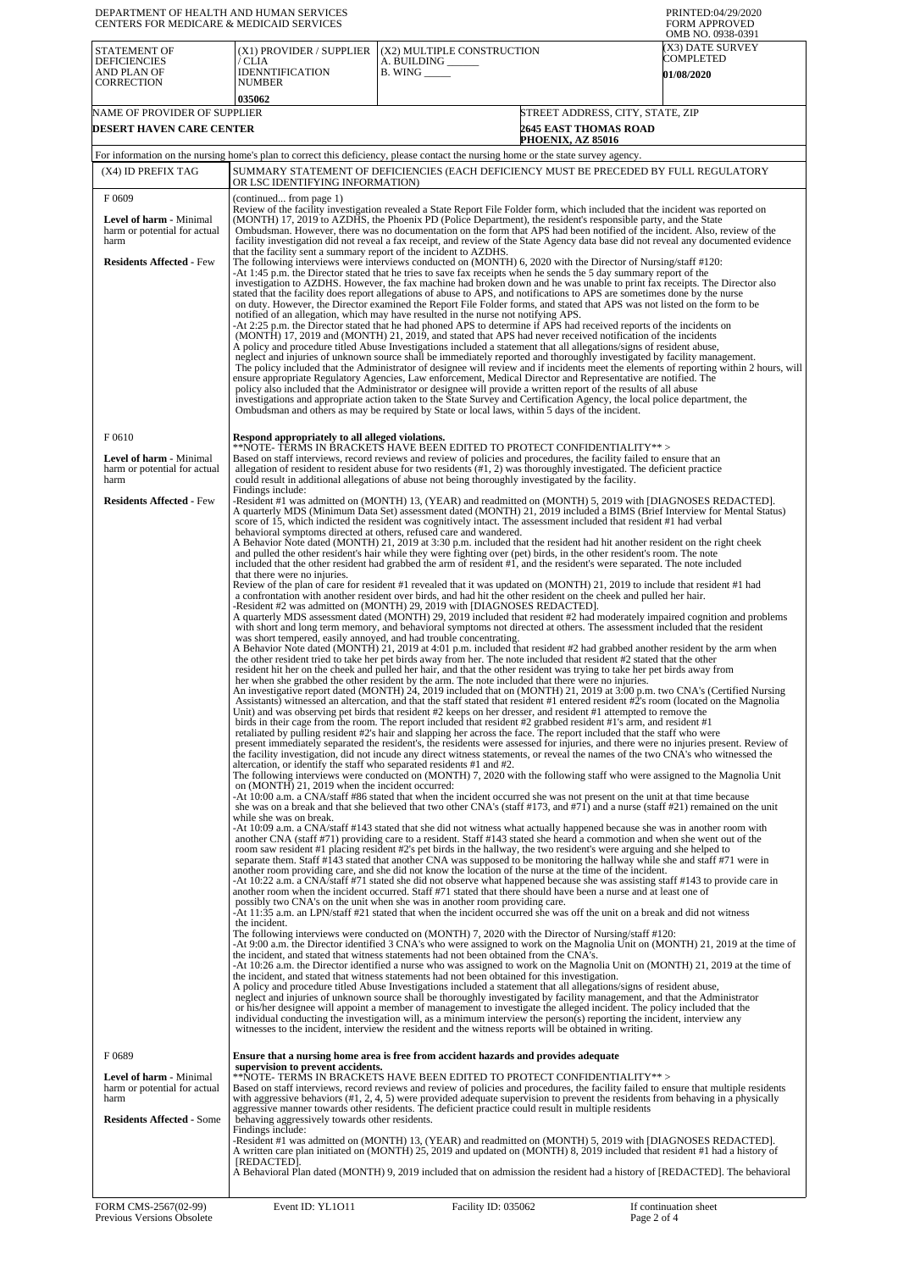| DEPARTMENT OF HEALTH AND HUMAN SERVICES<br>CENTERS FOR MEDICARE & MEDICAID SERVICES                          |                                                                                                                                                                                                                                                                                                                                                                                                                                                                                                                                                                                                                                                                                                                                                                                                                                                                                                                                                                                                                                                                                                                                                                                                                                                                                                                                                                                                    |                                                                                                                                                                                                                                                                                                                                                                                                                                                                                                                                                                                                                                                                                                                                                                                                                                                                                                                                                                                                                                                                                                                                                                                                                                                                                                                                                                                                                                                                                                                                                                                                                                                                                                                                                                                                                                                                                                                                                                                                                                  | PRINTED:04/29/2020<br><b>FORM APPROVED</b><br>OMB NO. 0938-0391 |  |  |
|--------------------------------------------------------------------------------------------------------------|----------------------------------------------------------------------------------------------------------------------------------------------------------------------------------------------------------------------------------------------------------------------------------------------------------------------------------------------------------------------------------------------------------------------------------------------------------------------------------------------------------------------------------------------------------------------------------------------------------------------------------------------------------------------------------------------------------------------------------------------------------------------------------------------------------------------------------------------------------------------------------------------------------------------------------------------------------------------------------------------------------------------------------------------------------------------------------------------------------------------------------------------------------------------------------------------------------------------------------------------------------------------------------------------------------------------------------------------------------------------------------------------------|----------------------------------------------------------------------------------------------------------------------------------------------------------------------------------------------------------------------------------------------------------------------------------------------------------------------------------------------------------------------------------------------------------------------------------------------------------------------------------------------------------------------------------------------------------------------------------------------------------------------------------------------------------------------------------------------------------------------------------------------------------------------------------------------------------------------------------------------------------------------------------------------------------------------------------------------------------------------------------------------------------------------------------------------------------------------------------------------------------------------------------------------------------------------------------------------------------------------------------------------------------------------------------------------------------------------------------------------------------------------------------------------------------------------------------------------------------------------------------------------------------------------------------------------------------------------------------------------------------------------------------------------------------------------------------------------------------------------------------------------------------------------------------------------------------------------------------------------------------------------------------------------------------------------------------------------------------------------------------------------------------------------------------|-----------------------------------------------------------------|--|--|
| STATEMENT OF<br><b>DEFICIENCIES</b><br>AND PLAN OF<br><b>CORRECTION</b>                                      | (X1) PROVIDER / SUPPLIER<br>/ CLIA<br>IDENNTIFICATION<br><b>NUMBER</b><br>035062                                                                                                                                                                                                                                                                                                                                                                                                                                                                                                                                                                                                                                                                                                                                                                                                                                                                                                                                                                                                                                                                                                                                                                                                                                                                                                                   | (X2) MULTIPLE CONSTRUCTION<br>A. BUILDING _____<br>$B.$ WING $\_\_\_\_\_\_\$                                                                                                                                                                                                                                                                                                                                                                                                                                                                                                                                                                                                                                                                                                                                                                                                                                                                                                                                                                                                                                                                                                                                                                                                                                                                                                                                                                                                                                                                                                                                                                                                                                                                                                                                                                                                                                                                                                                                                     | (X3) DATE SURVEY<br>COMPLETED<br><b>01/08/2020</b>              |  |  |
| NAME OF PROVIDER OF SUPPLIER                                                                                 |                                                                                                                                                                                                                                                                                                                                                                                                                                                                                                                                                                                                                                                                                                                                                                                                                                                                                                                                                                                                                                                                                                                                                                                                                                                                                                                                                                                                    | STREET ADDRESS, CITY, STATE, ZIP                                                                                                                                                                                                                                                                                                                                                                                                                                                                                                                                                                                                                                                                                                                                                                                                                                                                                                                                                                                                                                                                                                                                                                                                                                                                                                                                                                                                                                                                                                                                                                                                                                                                                                                                                                                                                                                                                                                                                                                                 |                                                                 |  |  |
| DESERT HAVEN CARE CENTER                                                                                     |                                                                                                                                                                                                                                                                                                                                                                                                                                                                                                                                                                                                                                                                                                                                                                                                                                                                                                                                                                                                                                                                                                                                                                                                                                                                                                                                                                                                    | <b>2645 EAST THOMAS ROAD</b><br>PHOENIX, AZ 85016                                                                                                                                                                                                                                                                                                                                                                                                                                                                                                                                                                                                                                                                                                                                                                                                                                                                                                                                                                                                                                                                                                                                                                                                                                                                                                                                                                                                                                                                                                                                                                                                                                                                                                                                                                                                                                                                                                                                                                                |                                                                 |  |  |
| (X4) ID PREFIX TAG                                                                                           |                                                                                                                                                                                                                                                                                                                                                                                                                                                                                                                                                                                                                                                                                                                                                                                                                                                                                                                                                                                                                                                                                                                                                                                                                                                                                                                                                                                                    | For information on the nursing home's plan to correct this deficiency, please contact the nursing home or the state survey agency.                                                                                                                                                                                                                                                                                                                                                                                                                                                                                                                                                                                                                                                                                                                                                                                                                                                                                                                                                                                                                                                                                                                                                                                                                                                                                                                                                                                                                                                                                                                                                                                                                                                                                                                                                                                                                                                                                               |                                                                 |  |  |
|                                                                                                              | SUMMARY STATEMENT OF DEFICIENCIES (EACH DEFICIENCY MUST BE PRECEDED BY FULL REGULATORY<br>OR LSC IDENTIFYING INFORMATION)                                                                                                                                                                                                                                                                                                                                                                                                                                                                                                                                                                                                                                                                                                                                                                                                                                                                                                                                                                                                                                                                                                                                                                                                                                                                          |                                                                                                                                                                                                                                                                                                                                                                                                                                                                                                                                                                                                                                                                                                                                                                                                                                                                                                                                                                                                                                                                                                                                                                                                                                                                                                                                                                                                                                                                                                                                                                                                                                                                                                                                                                                                                                                                                                                                                                                                                                  |                                                                 |  |  |
| F0609<br>Level of harm - Minimal<br>harm or potential for actual<br>harm<br><b>Residents Affected - Few</b>  | (continued from page 1)<br>that the facility sent a summary report of the incident to AZDHS.                                                                                                                                                                                                                                                                                                                                                                                                                                                                                                                                                                                                                                                                                                                                                                                                                                                                                                                                                                                                                                                                                                                                                                                                                                                                                                       | Review of the facility investigation revealed a State Report File Folder form, which included that the incident was reported on<br>(MONTH) 17, 2019 to AZDHS, the Phoenix PD (Police Department), the resident's responsible party, and the State<br>Ombudsman. However, there was no documentation on the form that APS had been notified of the incident. Also, review of the<br>facility investigation did not reveal a fax receipt, and review of the State Agency data base did not reveal any documented evidence<br>The following interviews were interviews conducted on (MONTH) 6, 2020 with the Director of Nursing/staff #120:<br>-At 1:45 p.m. the Director stated that he tries to save fax receipts when he sends the 5 day summary report of the                                                                                                                                                                                                                                                                                                                                                                                                                                                                                                                                                                                                                                                                                                                                                                                                                                                                                                                                                                                                                                                                                                                                                                                                                                                                  |                                                                 |  |  |
|                                                                                                              |                                                                                                                                                                                                                                                                                                                                                                                                                                                                                                                                                                                                                                                                                                                                                                                                                                                                                                                                                                                                                                                                                                                                                                                                                                                                                                                                                                                                    | investigation to AZDHS. However, the fax machine had broken down and he was unable to print fax receipts. The Director also<br>stated that the facility does report allegations of abuse to APS, and notifications to APS are sometimes done by the nurse<br>on duty. However, the Director examined the Report File Folder forms, and stated that APS was not listed on the form to be<br>notified of an allegation, which may have resulted in the nurse not notifying APS.<br>At 2:25 p.m. the Director stated that he had phoned APS to determine if APS had received reports of the incidents on<br>(MONTH) 17, 2019 and (MONTH) 21, 2019, and stated that APS had never received notification of the incidents<br>A policy and procedure titled Abuse Investigations included a statement that all allegations/signs of resident abuse,<br>neglect and injuries of unknown source shall be immediately reported and thoroughly investigated by facility management.<br>The policy included that the Administrator of designee will review and if incidents meet the elements of reporting within 2 hours, will<br>ensure appropriate Regulatory Agencies, Law enforcement, Medical Director and Representative are notified. The<br>policy also included that the Administrator or designee will provide a written report of the results of all abuse<br>investigations and appropriate action taken to the State Survey and Certification Agency, the local police department, the<br>Ombudsman and others as may be required by State or local laws, within 5 days of the incident.                                                                                                                                                                                                                                                                                                                                                                                                                                      |                                                                 |  |  |
| F0610                                                                                                        | Respond appropriately to all alleged violations.                                                                                                                                                                                                                                                                                                                                                                                                                                                                                                                                                                                                                                                                                                                                                                                                                                                                                                                                                                                                                                                                                                                                                                                                                                                                                                                                                   |                                                                                                                                                                                                                                                                                                                                                                                                                                                                                                                                                                                                                                                                                                                                                                                                                                                                                                                                                                                                                                                                                                                                                                                                                                                                                                                                                                                                                                                                                                                                                                                                                                                                                                                                                                                                                                                                                                                                                                                                                                  |                                                                 |  |  |
| Level of harm - Minimal<br>harm or potential for actual<br>harm                                              |                                                                                                                                                                                                                                                                                                                                                                                                                                                                                                                                                                                                                                                                                                                                                                                                                                                                                                                                                                                                                                                                                                                                                                                                                                                                                                                                                                                                    | **NOTE- TERMS IN BRACKETS HAVE BEEN EDITED TO PROTECT CONFIDENTIALITY**><br>Based on staff interviews, record reviews and review of policies and procedures, the facility failed to ensure that an<br>allegation of resident to resident abuse for two residents (#1, 2) was thoroughly investigated. The deficient practice<br>could result in additional allegations of abuse not being thoroughly investigated by the facility.                                                                                                                                                                                                                                                                                                                                                                                                                                                                                                                                                                                                                                                                                                                                                                                                                                                                                                                                                                                                                                                                                                                                                                                                                                                                                                                                                                                                                                                                                                                                                                                               |                                                                 |  |  |
| <b>Residents Affected - Few</b>                                                                              | Findings include:<br>-Resident #1 was admitted on (MONTH) 13, (YEAR) and readmitted on (MONTH) 5, 2019 with [DIAGNOSES REDACTED].<br>A quarterly MDS (Minimum Data Set) assessment dated (MONTH) 21, 2019 included a BIMS (Brief Interview for Mental Status)<br>score of 15, which indicted the resident was cognitively intact. The assessment included that resident #1 had verbal<br>behavioral symptoms directed at others, refused care and wandered.<br>A Behavior Note dated (MONTH) 21, 2019 at 3:30 p.m. included that the resident had hit another resident on the right cheek<br>and pulled the other resident's hair while they were fighting over (pet) birds, in the other resident's room. The note<br>included that the other resident had grabbed the arm of resident #1, and the resident's were separated. The note included                                                                                                                                                                                                                                                                                                                                                                                                                                                                                                                                                   |                                                                                                                                                                                                                                                                                                                                                                                                                                                                                                                                                                                                                                                                                                                                                                                                                                                                                                                                                                                                                                                                                                                                                                                                                                                                                                                                                                                                                                                                                                                                                                                                                                                                                                                                                                                                                                                                                                                                                                                                                                  |                                                                 |  |  |
|                                                                                                              | Review of the plan of care for resident #1 revealed that it was updated on (MONTH) 21, 2019 to include that resident #1 had<br>a confrontation with another resident over birds, and had hit the other resident on the cheek and pulled her hair.<br>A quarterly MDS assessment dated (MONTH) 29, 2019 included that resident #2 had moderately impaired cognition and problems<br>with short and long term memory, and behavioral symptoms not directed at others. The assessment included that the resident<br>A Behavior Note dated (MONTH) 21, 2019 at 4:01 p.m. included that resident #2 had grabbed another resident by the arm when<br>the other resident tried to take her pet birds away from her. The note included that resident #2 stated that the other<br>resident hit her on the cheek and pulled her hair, and that the other resident was trying to take her pet birds away from<br>her when she grabbed the other resident by the arm. The note included that there were no injuries.<br>An investigative report dated (MONTH) 24, 2019 included that on (MONTH) 21, 2019 at 3:00 p.m. two CNA's (Certified Nursing<br>Assistants) witnessed an altercation, and that the staff stated that resident #1 entered resident #2's room (located on the Magnolia<br>Unit) and was observing pet birds that resident #2 keeps on her dresser, and resident #1 attempted to remove the |                                                                                                                                                                                                                                                                                                                                                                                                                                                                                                                                                                                                                                                                                                                                                                                                                                                                                                                                                                                                                                                                                                                                                                                                                                                                                                                                                                                                                                                                                                                                                                                                                                                                                                                                                                                                                                                                                                                                                                                                                                  |                                                                 |  |  |
|                                                                                                              | altercation, or identify the staff who separated residents #1 and #2.<br>on (MONTH) 21, 2019 when the incident occurred:<br>while she was on break.<br>the incident.                                                                                                                                                                                                                                                                                                                                                                                                                                                                                                                                                                                                                                                                                                                                                                                                                                                                                                                                                                                                                                                                                                                                                                                                                               | birds in their cage from the room. The report included that resident #2 grabbed resident #1's arm, and resident #1<br>retaliated by pulling resident #2's hair and slapping her across the face. The report included that the staff who were<br>present immediately separated the resident's, the residents were assessed for injuries, and there were no injuries present. Review of<br>the facility investigation, did not incude any direct witness statements, or reveal the names of the two CNA's who witnessed the<br>The following interviews were conducted on (MONTH) 7, 2020 with the following staff who were assigned to the Magnolia Unit<br>-At 10:00 a.m. a CNA/staff #86 stated that when the incident occurred she was not present on the unit at that time because<br>she was on a break and that she believed that two other CNA's (staff #173, and #71) and a nurse (staff #21) remained on the unit<br>-At 10:09 a.m. a CNA/staff #143 stated that she did not witness what actually happened because she was in another room with<br>another CNA (staff #71) providing care to a resident. Staff #143 stated she heard a commotion and when she went out of the<br>room saw resident #1 placing resident #2's pet birds in the hallway, the two resident's were arguing and she helped to<br>separate them. Staff #143 stated that another CNA was supposed to be monitoring the hallway while she and staff #71 were in<br>another room providing care, and she did not know the location of the nurse at the time of the incident.<br>-At 10:22 a.m. a CNA/staff #71 stated she did not observe what happened because she was assisting staff #143 to provide care in<br>another room when the incident occurred. Staff #71 stated that there should have been a nurse and at least one of<br>possibly two CNA's on the unit when she was in another room providing care.<br>-At 11:35 a.m. an LPN/staff #21 stated that when the incident occurred she was off the unit on a break and did not witness |                                                                 |  |  |
|                                                                                                              |                                                                                                                                                                                                                                                                                                                                                                                                                                                                                                                                                                                                                                                                                                                                                                                                                                                                                                                                                                                                                                                                                                                                                                                                                                                                                                                                                                                                    | The following interviews were conducted on (MONTH) 7, 2020 with the Director of Nursing/staff #120:<br>-At 9:00 a.m. the Director identified 3 CNA's who were assigned to work on the Magnolia Unit on (MONTH) 21, 2019 at the time of<br>the incident, and stated that witness statements had not been obtained from the CNA's.<br>-At 10:26 a.m. the Director identified a nurse who was assigned to work on the Magnolia Unit on (MONTH) 21, 2019 at the time of<br>the incident, and stated that witness statements had not been obtained for this investigation.<br>A policy and procedure titled Abuse Investigations included a statement that all allegations/signs of resident abuse,<br>neglect and injuries of unknown source shall be thoroughly investigated by facility management, and that the Administrator<br>or his/her designee will appoint a member of management to investigate the alleged incident. The policy included that the<br>individual conducting the investigation will, as a minimum interview the person(s) reporting the incident, interview any<br>witnesses to the incident, interview the resident and the witness reports will be obtained in writing.                                                                                                                                                                                                                                                                                                                                                                                                                                                                                                                                                                                                                                                                                                                                                                                                                                  |                                                                 |  |  |
| F0689<br>Level of harm - Minimal<br>harm or potential for actual<br>harm<br><b>Residents Affected - Some</b> | supervision to prevent accidents.<br>behaving aggressively towards other residents.<br>Findings include:<br>[REDACTED].                                                                                                                                                                                                                                                                                                                                                                                                                                                                                                                                                                                                                                                                                                                                                                                                                                                                                                                                                                                                                                                                                                                                                                                                                                                                            | Ensure that a nursing home area is free from accident hazards and provides adequate<br>$**$ NOTE- TERMS IN BRACKETS HAVE BEEN EDITED TO PROTECT CONFIDENTIALITY $**$<br>Based on staff interviews, record reviews and review of policies and procedures, the facility failed to ensure that multiple residents<br>with aggressive behaviors $(\#1, 2, 4, 5)$ were provided adequate supervision to prevent the residents from behaving in a physically<br>aggressive manner towards other residents. The deficient practice could result in multiple residents<br>-Resident #1 was admitted on (MONTH) 13, (YEAR) and readmitted on (MONTH) 5, 2019 with [DIAGNOSES REDACTED].<br>A written care plan initiated on (MONTH) 25, 2019 and updated on (MONTH) 8, 2019 included that resident #1 had a history of<br>A Behavioral Plan dated (MONTH) 9, 2019 included that on admission the resident had a history of [REDACTED]. The behavioral                                                                                                                                                                                                                                                                                                                                                                                                                                                                                                                                                                                                                                                                                                                                                                                                                                                                                                                                                                                                                                                                                     |                                                                 |  |  |
|                                                                                                              |                                                                                                                                                                                                                                                                                                                                                                                                                                                                                                                                                                                                                                                                                                                                                                                                                                                                                                                                                                                                                                                                                                                                                                                                                                                                                                                                                                                                    |                                                                                                                                                                                                                                                                                                                                                                                                                                                                                                                                                                                                                                                                                                                                                                                                                                                                                                                                                                                                                                                                                                                                                                                                                                                                                                                                                                                                                                                                                                                                                                                                                                                                                                                                                                                                                                                                                                                                                                                                                                  |                                                                 |  |  |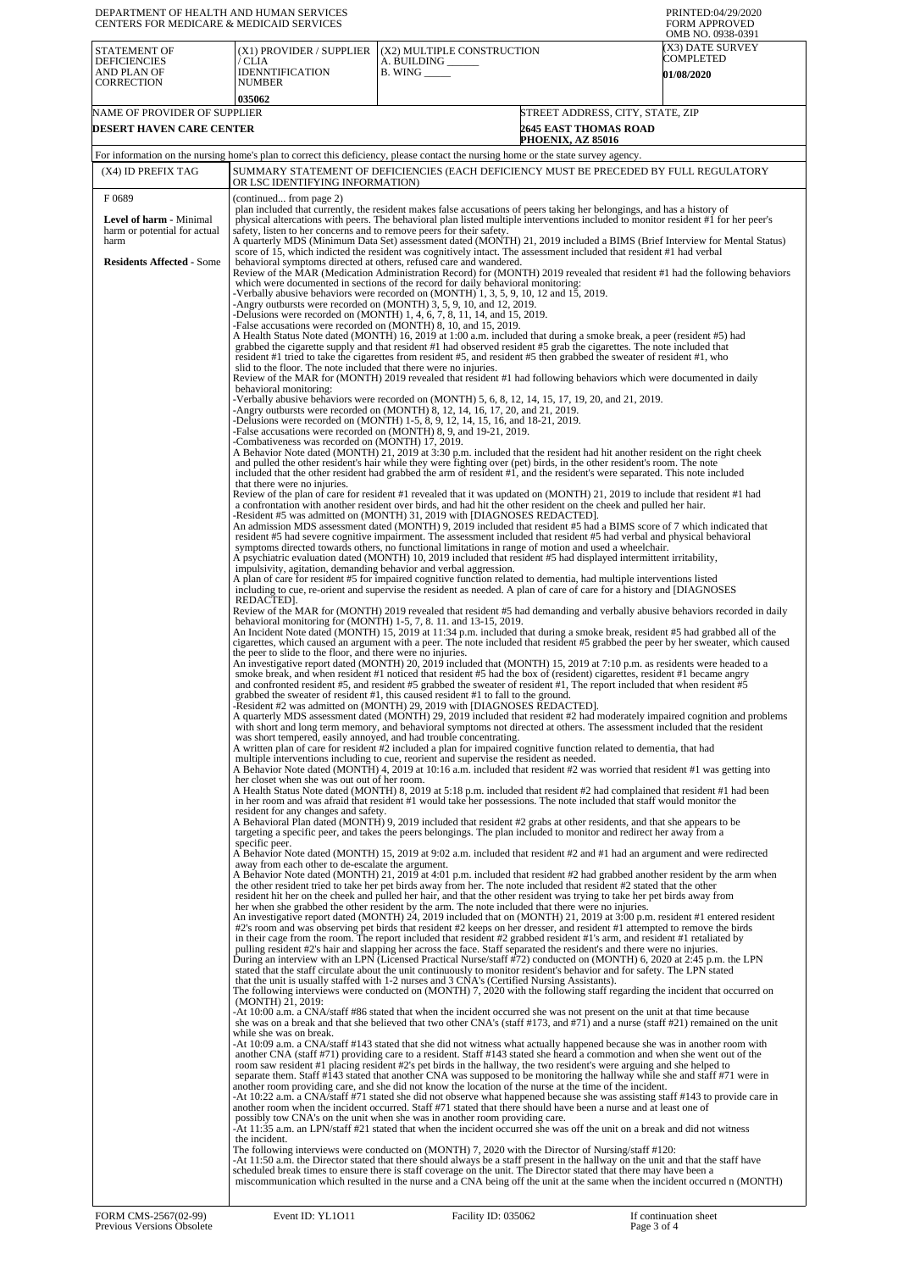| CENTERS FOR MEDICARE & MEDICAID SERVICES                                                                                                 | DEPARTMENT OF HEALTH AND HUMAN SERVICES                                                                                                                                                                                                                                                                                                                                                                                                                                                                                                                                                                                                                                                                                                                                                                                                                                                                                                                                                                                                                                                                                                                                                                                                                                                                                                                                                                                                                                                                                                                                                                                                                                                                                                                                                                                                                                                                                                                                                                                                                                                                                                                                                                                                                                                                                                                                                                                                                                                                                                                                                                                                                                                                                                                                                                                                                                                                                                                                                                                                                                                                                                                                                                                                                                                                                                                                                                                                                                                                                                                                                                                                                                                                                                                                                                                                                                                                                                                                                                                                                                                                                                                                                                                                                                                                                                                                                                                                                                                                                                                                                                                                    |                                                                                                                                                                                                                                                                                                                                                                                                                                                                                                                                                                                                                                                                                                                                                                                                                                                                                                                                                                                                                                                                                                                                                                                                                                                                                                                                                                                                                                                                                                                                                                                                                                                                                                                                                                                                                                                                                                                                                                                                                                                                                                                                                                                                                                                                                                                                                                                                                                                                                                                                                                                                                                                                                                                                                                                                                                                                                                                                                                                                                                                                                                                                                                                                                                                                                                                                                                                                                                                                                                                                                                                                                                                                                                                                                                                                                                                                                                                                                                                                                                                                                                                                                                                                                                                                                                                                                                                                                                                                                                                                                                                                                                                                                                                                                                                                                                                                                                                                                                                                                                                                                                                                  | PRINTED:04/29/2020<br><b>FORM APPROVED</b><br>OMB NO. 0938-0391 |  |
|------------------------------------------------------------------------------------------------------------------------------------------|--------------------------------------------------------------------------------------------------------------------------------------------------------------------------------------------------------------------------------------------------------------------------------------------------------------------------------------------------------------------------------------------------------------------------------------------------------------------------------------------------------------------------------------------------------------------------------------------------------------------------------------------------------------------------------------------------------------------------------------------------------------------------------------------------------------------------------------------------------------------------------------------------------------------------------------------------------------------------------------------------------------------------------------------------------------------------------------------------------------------------------------------------------------------------------------------------------------------------------------------------------------------------------------------------------------------------------------------------------------------------------------------------------------------------------------------------------------------------------------------------------------------------------------------------------------------------------------------------------------------------------------------------------------------------------------------------------------------------------------------------------------------------------------------------------------------------------------------------------------------------------------------------------------------------------------------------------------------------------------------------------------------------------------------------------------------------------------------------------------------------------------------------------------------------------------------------------------------------------------------------------------------------------------------------------------------------------------------------------------------------------------------------------------------------------------------------------------------------------------------------------------------------------------------------------------------------------------------------------------------------------------------------------------------------------------------------------------------------------------------------------------------------------------------------------------------------------------------------------------------------------------------------------------------------------------------------------------------------------------------------------------------------------------------------------------------------------------------------------------------------------------------------------------------------------------------------------------------------------------------------------------------------------------------------------------------------------------------------------------------------------------------------------------------------------------------------------------------------------------------------------------------------------------------------------------------------------------------------------------------------------------------------------------------------------------------------------------------------------------------------------------------------------------------------------------------------------------------------------------------------------------------------------------------------------------------------------------------------------------------------------------------------------------------------------------------------------------------------------------------------------------------------------------------------------------------------------------------------------------------------------------------------------------------------------------------------------------------------------------------------------------------------------------------------------------------------------------------------------------------------------------------------------------------------------------------------------------------------------------------------------------------|----------------------------------------------------------------------------------------------------------------------------------------------------------------------------------------------------------------------------------------------------------------------------------------------------------------------------------------------------------------------------------------------------------------------------------------------------------------------------------------------------------------------------------------------------------------------------------------------------------------------------------------------------------------------------------------------------------------------------------------------------------------------------------------------------------------------------------------------------------------------------------------------------------------------------------------------------------------------------------------------------------------------------------------------------------------------------------------------------------------------------------------------------------------------------------------------------------------------------------------------------------------------------------------------------------------------------------------------------------------------------------------------------------------------------------------------------------------------------------------------------------------------------------------------------------------------------------------------------------------------------------------------------------------------------------------------------------------------------------------------------------------------------------------------------------------------------------------------------------------------------------------------------------------------------------------------------------------------------------------------------------------------------------------------------------------------------------------------------------------------------------------------------------------------------------------------------------------------------------------------------------------------------------------------------------------------------------------------------------------------------------------------------------------------------------------------------------------------------------------------------------------------------------------------------------------------------------------------------------------------------------------------------------------------------------------------------------------------------------------------------------------------------------------------------------------------------------------------------------------------------------------------------------------------------------------------------------------------------------------------------------------------------------------------------------------------------------------------------------------------------------------------------------------------------------------------------------------------------------------------------------------------------------------------------------------------------------------------------------------------------------------------------------------------------------------------------------------------------------------------------------------------------------------------------------------------------------------------------------------------------------------------------------------------------------------------------------------------------------------------------------------------------------------------------------------------------------------------------------------------------------------------------------------------------------------------------------------------------------------------------------------------------------------------------------------------------------------------------------------------------------------------------------------------------------------------------------------------------------------------------------------------------------------------------------------------------------------------------------------------------------------------------------------------------------------------------------------------------------------------------------------------------------------------------------------------------------------------------------------------------------------------------------------------------------------------------------------------------------------------------------------------------------------------------------------------------------------------------------------------------------------------------------------------------------------------------------------------------------------------------------------------------------------------------------------------------------------------------------------------------------|-----------------------------------------------------------------|--|
| STATEMENT OF<br><b>DEFICIENCIES</b><br>AND PLAN OF<br>CORRECTION                                                                         | (X1) PROVIDER / SUPPLIER<br>/ CLIA<br><b>IDENNTIFICATION</b><br><b>NUMBER</b><br>035062                                                                                                                                                                                                                                                                                                                                                                                                                                                                                                                                                                                                                                                                                                                                                                                                                                                                                                                                                                                                                                                                                                                                                                                                                                                                                                                                                                                                                                                                                                                                                                                                                                                                                                                                                                                                                                                                                                                                                                                                                                                                                                                                                                                                                                                                                                                                                                                                                                                                                                                                                                                                                                                                                                                                                                                                                                                                                                                                                                                                                                                                                                                                                                                                                                                                                                                                                                                                                                                                                                                                                                                                                                                                                                                                                                                                                                                                                                                                                                                                                                                                                                                                                                                                                                                                                                                                                                                                                                                                                                                                                    | (X2) MULTIPLE CONSTRUCTION<br>A. BUILDING ____<br>$B.$ WING $\_\_\_\_\_\_\_\$                                                                                                                                                                                                                                                                                                                                                                                                                                                                                                                                                                                                                                                                                                                                                                                                                                                                                                                                                                                                                                                                                                                                                                                                                                                                                                                                                                                                                                                                                                                                                                                                                                                                                                                                                                                                                                                                                                                                                                                                                                                                                                                                                                                                                                                                                                                                                                                                                                                                                                                                                                                                                                                                                                                                                                                                                                                                                                                                                                                                                                                                                                                                                                                                                                                                                                                                                                                                                                                                                                                                                                                                                                                                                                                                                                                                                                                                                                                                                                                                                                                                                                                                                                                                                                                                                                                                                                                                                                                                                                                                                                                                                                                                                                                                                                                                                                                                                                                                                                                                                                                    | (X3) DATE SURVEY<br>COMPLETED<br><b>01/08/2020</b>              |  |
| NAME OF PROVIDER OF SUPPLIER                                                                                                             |                                                                                                                                                                                                                                                                                                                                                                                                                                                                                                                                                                                                                                                                                                                                                                                                                                                                                                                                                                                                                                                                                                                                                                                                                                                                                                                                                                                                                                                                                                                                                                                                                                                                                                                                                                                                                                                                                                                                                                                                                                                                                                                                                                                                                                                                                                                                                                                                                                                                                                                                                                                                                                                                                                                                                                                                                                                                                                                                                                                                                                                                                                                                                                                                                                                                                                                                                                                                                                                                                                                                                                                                                                                                                                                                                                                                                                                                                                                                                                                                                                                                                                                                                                                                                                                                                                                                                                                                                                                                                                                                                                                                                                            | <b>2645 EAST THOMAS ROAD</b>                                                                                                                                                                                                                                                                                                                                                                                                                                                                                                                                                                                                                                                                                                                                                                                                                                                                                                                                                                                                                                                                                                                                                                                                                                                                                                                                                                                                                                                                                                                                                                                                                                                                                                                                                                                                                                                                                                                                                                                                                                                                                                                                                                                                                                                                                                                                                                                                                                                                                                                                                                                                                                                                                                                                                                                                                                                                                                                                                                                                                                                                                                                                                                                                                                                                                                                                                                                                                                                                                                                                                                                                                                                                                                                                                                                                                                                                                                                                                                                                                                                                                                                                                                                                                                                                                                                                                                                                                                                                                                                                                                                                                                                                                                                                                                                                                                                                                                                                                                                                                                                                                                     | STREET ADDRESS, CITY, STATE, ZIP                                |  |
|                                                                                                                                          |                                                                                                                                                                                                                                                                                                                                                                                                                                                                                                                                                                                                                                                                                                                                                                                                                                                                                                                                                                                                                                                                                                                                                                                                                                                                                                                                                                                                                                                                                                                                                                                                                                                                                                                                                                                                                                                                                                                                                                                                                                                                                                                                                                                                                                                                                                                                                                                                                                                                                                                                                                                                                                                                                                                                                                                                                                                                                                                                                                                                                                                                                                                                                                                                                                                                                                                                                                                                                                                                                                                                                                                                                                                                                                                                                                                                                                                                                                                                                                                                                                                                                                                                                                                                                                                                                                                                                                                                                                                                                                                                                                                                                                            | PHOENIX, AZ 85016                                                                                                                                                                                                                                                                                                                                                                                                                                                                                                                                                                                                                                                                                                                                                                                                                                                                                                                                                                                                                                                                                                                                                                                                                                                                                                                                                                                                                                                                                                                                                                                                                                                                                                                                                                                                                                                                                                                                                                                                                                                                                                                                                                                                                                                                                                                                                                                                                                                                                                                                                                                                                                                                                                                                                                                                                                                                                                                                                                                                                                                                                                                                                                                                                                                                                                                                                                                                                                                                                                                                                                                                                                                                                                                                                                                                                                                                                                                                                                                                                                                                                                                                                                                                                                                                                                                                                                                                                                                                                                                                                                                                                                                                                                                                                                                                                                                                                                                                                                                                                                                                                                                |                                                                 |  |
| (X4) ID PREFIX TAG                                                                                                                       |                                                                                                                                                                                                                                                                                                                                                                                                                                                                                                                                                                                                                                                                                                                                                                                                                                                                                                                                                                                                                                                                                                                                                                                                                                                                                                                                                                                                                                                                                                                                                                                                                                                                                                                                                                                                                                                                                                                                                                                                                                                                                                                                                                                                                                                                                                                                                                                                                                                                                                                                                                                                                                                                                                                                                                                                                                                                                                                                                                                                                                                                                                                                                                                                                                                                                                                                                                                                                                                                                                                                                                                                                                                                                                                                                                                                                                                                                                                                                                                                                                                                                                                                                                                                                                                                                                                                                                                                                                                                                                                                                                                                                                            |                                                                                                                                                                                                                                                                                                                                                                                                                                                                                                                                                                                                                                                                                                                                                                                                                                                                                                                                                                                                                                                                                                                                                                                                                                                                                                                                                                                                                                                                                                                                                                                                                                                                                                                                                                                                                                                                                                                                                                                                                                                                                                                                                                                                                                                                                                                                                                                                                                                                                                                                                                                                                                                                                                                                                                                                                                                                                                                                                                                                                                                                                                                                                                                                                                                                                                                                                                                                                                                                                                                                                                                                                                                                                                                                                                                                                                                                                                                                                                                                                                                                                                                                                                                                                                                                                                                                                                                                                                                                                                                                                                                                                                                                                                                                                                                                                                                                                                                                                                                                                                                                                                                                  |                                                                 |  |
| DESERT HAVEN CARE CENTER<br>F0689<br>Level of harm - Minimal<br>harm or potential for actual<br>harm<br><b>Residents Affected - Some</b> | For information on the nursing home's plan to correct this deficiency, please contact the nursing home or the state survey agency.<br>SUMMARY STATEMENT OF DEFICIENCIES (EACH DEFICIENCY MUST BE PRECEDED BY FULL REGULATORY<br>OR LSC IDENTIFYING INFORMATION)<br>(continued from page 2)<br>plan included that currently, the resident makes false accusations of peers taking her belongings, and has a history of<br>physical altercations with peers. The behavioral plan listed multiple interventions included to monitor resident #1 for her peer's<br>safety, listen to her concerns and to remove peers for their safety.<br>A quarterly MDS (Minimum Data Set) assessment dated (MONTH) 21, 2019 included a BIMS (Brief Interview for Mental Status)<br>score of 15, which indicted the resident was cognitively intact. The assessment included that resident #1 had verbal<br>behavioral symptoms directed at others, refused care and wandered.<br>Review of the MAR (Medication Administration Record) for (MONTH) 2019 revealed that resident #1 had the following behaviors<br>which were documented in sections of the record for daily behavioral monitoring:<br>-Verbally abusive behaviors were recorded on (MONTH) 1, 3, 5, 9, 10, 12 and 15, 2019.<br>-Angry outbursts were recorded on (MONTH) 3, 5, 9, 10, and 12, 2019.<br>-Delusions were recorded on $(MONTH)$ 1, 4, 6, 7, 8, 11, 14, and 15, 2019.<br>False accusations were recorded on (MONTH) 8, 10, and 15, 2019.<br>A Health Status Note dated (MONTH) 16, 2019 at 1:00 a.m. included that during a smoke break, a peer (resident #5) had<br>grabbed the cigarette supply and that resident #1 had observed resident #5 grab the cigarettes. The note included that<br>resident #1 tried to take the cigarettes from resident #5, and resident #5 then grabbed the sweater of resident #1, who<br>slid to the floor. The note included that there were no injuries.<br>Review of the MAR for (MONTH) 2019 revealed that resident #1 had following behaviors which were documented in daily<br>behavioral monitoring:<br>-Verbally abusive behaviors were recorded on (MONTH) 5, 6, 8, 12, 14, 15, 17, 19, 20, and 21, 2019.<br>-Angry outbursts were recorded on $(MONTH)$ 8, 12, 14, 16, 17, 20, and 21, 2019.<br>-Delusions were recorded on (MONTH) 1-5, 8, 9, 12, 14, 15, 16, and 18-21, 2019.<br>-False accusations were recorded on (MONTH) 8, 9, and 19-21, 2019.<br>-Combativeness was recorded on (MONTH) 17, 2019.<br>A Behavior Note dated (MONTH) 21, 2019 at 3:30 p.m. included that the resident had hit another resident on the right cheek<br>and pulled the other resident's hair while they were fighting over (pet) birds, in the other resident's room. The note<br>included that the other resident had grabbed the arm of resident #1, and the resident's were separated. This note included<br>that there were no injuries.<br>Review of the plan of care for resident #1 revealed that it was updated on (MONTH) 21, 2019 to include that resident #1 had<br>a confrontation with another resident over birds, and had hit the other resident on the cheek and pulled her hair.<br>Resident #5 was admitted on (MONTH) 31, 2019 with [DIAGNOSES REDACTED].<br>An admission MDS assessment dated (MONTH) 9, 2019 included that resident #5 had a BIMS score of 7 which indicated that<br>resident #5 had severe cognitive impairment. The assessment included that resident #5 had verbal and physical behavioral<br>symptoms directed towards others, no functional limitations in range of motion and used a wheelchair.<br>A psychiatric evaluation dated (MONTH) 10, 2019 included that resident #5 had displayed intermittent irritability,<br>impulsivity, agitation, demanding behavior and verbal aggression.<br>A plan of care for resident #5 for impaired cognitive function related to dementia, had multiple interventions listed<br>including to cue, re-orient and supervise the resident as needed. A plan of care of care for a history and [DIAGNOSES]<br>REDACTED].<br>Review of the MAR for (MONTH) 2019 revealed that resident #5 had demanding and verbally abusive behaviors recorded in daily<br>behavioral monitoring for $(MONTH)$ 1-5, 7, 8. 11. and 13-15, 2019.<br>An Incident Note dated (MONTH) 15, 2019 at 11:34 p.m. included that during a smoke break, resident #5 had grabbed all of the<br>cigarettes, which caused an argument with a peer. The note included that resident #5 grabbed the peer by her sweater, which caused<br>the peer to slide to the floor, and there were no injuries. |                                                                                                                                                                                                                                                                                                                                                                                                                                                                                                                                                                                                                                                                                                                                                                                                                                                                                                                                                                                                                                                                                                                                                                                                                                                                                                                                                                                                                                                                                                                                                                                                                                                                                                                                                                                                                                                                                                                                                                                                                                                                                                                                                                                                                                                                                                                                                                                                                                                                                                                                                                                                                                                                                                                                                                                                                                                                                                                                                                                                                                                                                                                                                                                                                                                                                                                                                                                                                                                                                                                                                                                                                                                                                                                                                                                                                                                                                                                                                                                                                                                                                                                                                                                                                                                                                                                                                                                                                                                                                                                                                                                                                                                                                                                                                                                                                                                                                                                                                                                                                                                                                                                                  |                                                                 |  |
|                                                                                                                                          | her closet when she was out out of her room.<br>resident for any changes and safety.<br>specific peer.<br>away from each other to de-escalate the argument.<br>(MONTH) 21, 2019:<br>while she was on break.<br>the incident.                                                                                                                                                                                                                                                                                                                                                                                                                                                                                                                                                                                                                                                                                                                                                                                                                                                                                                                                                                                                                                                                                                                                                                                                                                                                                                                                                                                                                                                                                                                                                                                                                                                                                                                                                                                                                                                                                                                                                                                                                                                                                                                                                                                                                                                                                                                                                                                                                                                                                                                                                                                                                                                                                                                                                                                                                                                                                                                                                                                                                                                                                                                                                                                                                                                                                                                                                                                                                                                                                                                                                                                                                                                                                                                                                                                                                                                                                                                                                                                                                                                                                                                                                                                                                                                                                                                                                                                                               | smoke break, and when resident #1 noticed that resident #5 had the box of (resident) cigarettes, resident #1 became angry<br>and confronted resident #5, and resident #5 grabbed the sweater of resident #1, The report included that when resident #5<br>grabbed the sweater of resident #1, this caused resident #1 to fall to the ground.<br>Resident #2 was admitted on (MONTH) 29, 2019 with [DIAGNOSES REDACTED].<br>A quarterly MDS assessment dated (MONTH) 29, 2019 included that resident #2 had moderately impaired cognition and problems<br>with short and long term memory, and behavioral symptoms not directed at others. The assessment included that the resident<br>was short tempered, easily annoyed, and had trouble concentrating.<br>A written plan of care for resident #2 included a plan for impaired cognitive function related to dementia, that had<br>multiple interventions including to cue, reorient and supervise the resident as needed.<br>A Behavior Note dated (MONTH) 4, 2019 at 10:16 a.m. included that resident #2 was worried that resident #1 was getting into<br>A Health Status Note dated (MONTH) 8, 2019 at 5:18 p.m. included that resident #2 had complained that resident #1 had been<br>in her room and was afraid that resident #1 would take her possessions. The note included that staff would monitor the<br>A Behavioral Plan dated (MONTH) 9, 2019 included that resident #2 grabs at other residents, and that she appears to be<br>targeting a specific peer, and takes the peers belongings. The plan included to monitor and redirect her away from a<br>A Behavior Note dated (MONTH) 15, 2019 at 9:02 a.m. included that resident #2 and #1 had an argument and were redirected<br>A Behavior Note dated (MONTH) 21, 2019 at 4:01 p.m. included that resident #2 had grabbed another resident by the arm when<br>the other resident tried to take her pet birds away from her. The note included that resident #2 stated that the other<br>resident hit her on the cheek and pulled her hair, and that the other resident was trying to take her pet birds away from<br>her when she grabbed the other resident by the arm. The note included that there were no injuries.<br>An investigative report dated (MONTH) 24, 2019 included that on (MONTH) 21, 2019 at 3:00 p.m. resident #1 entered resident<br>#2's room and was observing pet birds that resident #2 keeps on her dresser, and resident #1 attempted to remove the birds<br>in their cage from the room. The report included that resident #2 grabbed resident #1's arm, and resident #1 retaliated by<br>pulling resident #2's hair and slapping her across the face. Staff separated the resident's and there were no injuries.<br>During an interview with an LPN (Licensed Practical Nurse/staff #72) conducted on (MONTH) 6, 2020 at 2:45 p.m. the LPN<br>stated that the staff circulate about the unit continuously to monitor resident's behavior and for safety. The LPN stated<br>that the unit is usually staffed with 1-2 nurses and 3 CNA's (Certified Nursing Assistants).<br>The following interviews were conducted on (MONTH) 7, 2020 with the following staff regarding the incident that occurred on<br>At 10:00 a.m. a CNA/staff #86 stated that when the incident occurred she was not present on the unit at that time because<br>she was on a break and that she believed that two other CNA's (staff #173, and #71) and a nurse (staff #21) remained on the unit<br>-At 10:09 a.m. a CNA/staff #143 stated that she did not witness what actually happened because she was in another room with<br>another CNA (staff #71) providing care to a resident. Staff #143 stated she heard a commotion and when she went out of the<br>room saw resident #1 placing resident #2's pet birds in the hallway, the two resident's were arguing and she helped to<br>separate them. Staff #143 stated that another CNA was supposed to be monitoring the hallway while she and staff #71 were in<br>another room providing care, and she did not know the location of the nurse at the time of the incident.<br>-At 10:22 a.m. a CNA/staff #71 stated she did not observe what happened because she was assisting staff #143 to provide care in<br>another room when the incident occurred. Staff #71 stated that there should have been a nurse and at least one of<br>possibly tow CNA's on the unit when she was in another room providing care.<br>-At 11:35 a.m. an LPN/staff #21 stated that when the incident occurred she was off the unit on a break and did not witness<br>The following interviews were conducted on (MONTH) 7, 2020 with the Director of Nursing/staff #120:<br>-At 11:50 a.m. the Director stated that there should always be a staff present in the hallway on the unit and that the staff have<br>scheduled break times to ensure there is staff coverage on the unit. The Director stated that there may have been a<br>miscommunication which resulted in the nurse and a CNA being off the unit at the same when the incident occurred n (MONTH) |                                                                 |  |